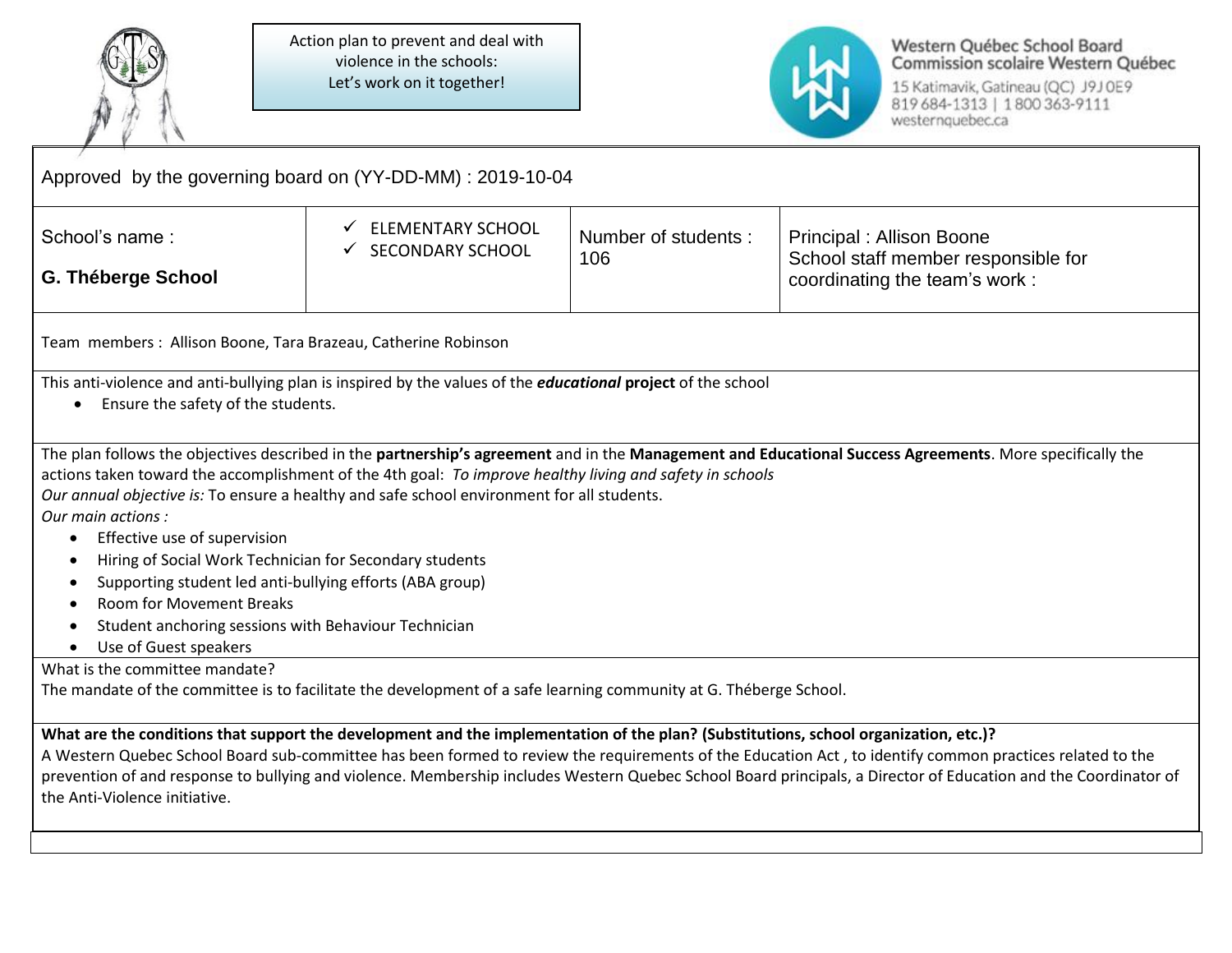



## Western Québec School Board<br>Commission scolaire Western Québec

15 Katimavik, Gatineau (QC) J9J0E9<br>819 684-1313 | 1 800 363-9111<br>westernquebec.ca

| Approved by the governing board on (YY-DD-MM) : 2019-10-04                                                                                                                                                                                                                                                                                                                                                                                                                                                                                  |                                                                     |                            |                                                                                                                                                                                                                                                                                                                             |  |
|---------------------------------------------------------------------------------------------------------------------------------------------------------------------------------------------------------------------------------------------------------------------------------------------------------------------------------------------------------------------------------------------------------------------------------------------------------------------------------------------------------------------------------------------|---------------------------------------------------------------------|----------------------------|-----------------------------------------------------------------------------------------------------------------------------------------------------------------------------------------------------------------------------------------------------------------------------------------------------------------------------|--|
| School's name:<br><b>G. Théberge School</b>                                                                                                                                                                                                                                                                                                                                                                                                                                                                                                 | <b>ELEMENTARY SCHOOL</b><br>$\checkmark$<br><b>SECONDARY SCHOOL</b> | Number of students:<br>106 | Principal: Allison Boone<br>School staff member responsible for<br>coordinating the team's work :                                                                                                                                                                                                                           |  |
| Team members : Allison Boone, Tara Brazeau, Catherine Robinson                                                                                                                                                                                                                                                                                                                                                                                                                                                                              |                                                                     |                            |                                                                                                                                                                                                                                                                                                                             |  |
| This anti-violence and anti-bullying plan is inspired by the values of the <i>educational</i> project of the school<br>Ensure the safety of the students.                                                                                                                                                                                                                                                                                                                                                                                   |                                                                     |                            |                                                                                                                                                                                                                                                                                                                             |  |
| actions taken toward the accomplishment of the 4th goal: To improve healthy living and safety in schools<br>Our annual objective is: To ensure a healthy and safe school environment for all students.<br>Our main actions :<br>Effective use of supervision<br>$\bullet$<br>Hiring of Social Work Technician for Secondary students<br>٠<br>Supporting student led anti-bullying efforts (ABA group)<br>٠<br><b>Room for Movement Breaks</b><br>Student anchoring sessions with Behaviour Technician<br>Use of Guest speakers<br>$\bullet$ |                                                                     |                            | The plan follows the objectives described in the partnership's agreement and in the Management and Educational Success Agreements. More specifically the                                                                                                                                                                    |  |
| What is the committee mandate?<br>The mandate of the committee is to facilitate the development of a safe learning community at G. Théberge School.                                                                                                                                                                                                                                                                                                                                                                                         |                                                                     |                            |                                                                                                                                                                                                                                                                                                                             |  |
| What are the conditions that support the development and the implementation of the plan? (Substitutions, school organization, etc.)?<br>the Anti-Violence initiative.                                                                                                                                                                                                                                                                                                                                                                       |                                                                     |                            | A Western Quebec School Board sub-committee has been formed to review the requirements of the Education Act, to identify common practices related to the<br>prevention of and response to bullying and violence. Membership includes Western Quebec School Board principals, a Director of Education and the Coordinator of |  |
|                                                                                                                                                                                                                                                                                                                                                                                                                                                                                                                                             |                                                                     |                            |                                                                                                                                                                                                                                                                                                                             |  |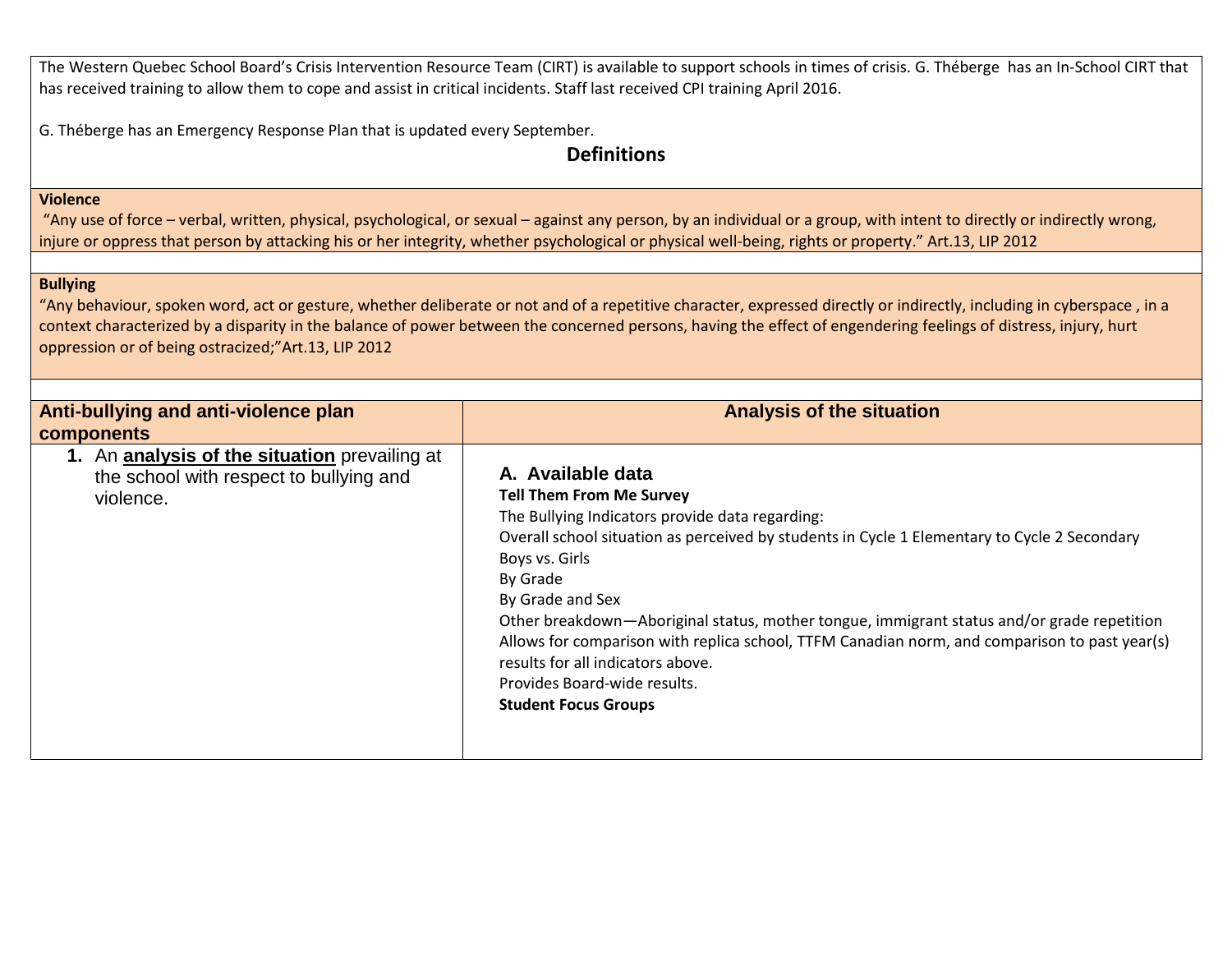| The Western Quebec School Board's Crisis Intervention Resource Team (CIRT) is available to support schools in times of crisis. G. Théberge has an In-School CIRT that<br>has received training to allow them to cope and assist in critical incidents. Staff last received CPI training April 2016. |                                                                                                                                                                                                                                                                                                                                          |  |
|-----------------------------------------------------------------------------------------------------------------------------------------------------------------------------------------------------------------------------------------------------------------------------------------------------|------------------------------------------------------------------------------------------------------------------------------------------------------------------------------------------------------------------------------------------------------------------------------------------------------------------------------------------|--|
| G. Théberge has an Emergency Response Plan that is updated every September.<br><b>Definitions</b>                                                                                                                                                                                                   |                                                                                                                                                                                                                                                                                                                                          |  |
| <b>Violence</b>                                                                                                                                                                                                                                                                                     | "Any use of force - verbal, written, physical, psychological, or sexual - against any person, by an individual or a group, with intent to directly or indirectly wrong,<br>injure or oppress that person by attacking his or her integrity, whether psychological or physical well-being, rights or property." Art.13, LIP 2012          |  |
| <b>Bullying</b><br>oppression or of being ostracized;"Art.13, LIP 2012                                                                                                                                                                                                                              | "Any behaviour, spoken word, act or gesture, whether deliberate or not and of a repetitive character, expressed directly or indirectly, including in cyberspace, in a<br>context characterized by a disparity in the balance of power between the concerned persons, having the effect of engendering feelings of distress, injury, hurt |  |
| Anti-bullying and anti-violence plan                                                                                                                                                                                                                                                                | <b>Analysis of the situation</b>                                                                                                                                                                                                                                                                                                         |  |
| components                                                                                                                                                                                                                                                                                          |                                                                                                                                                                                                                                                                                                                                          |  |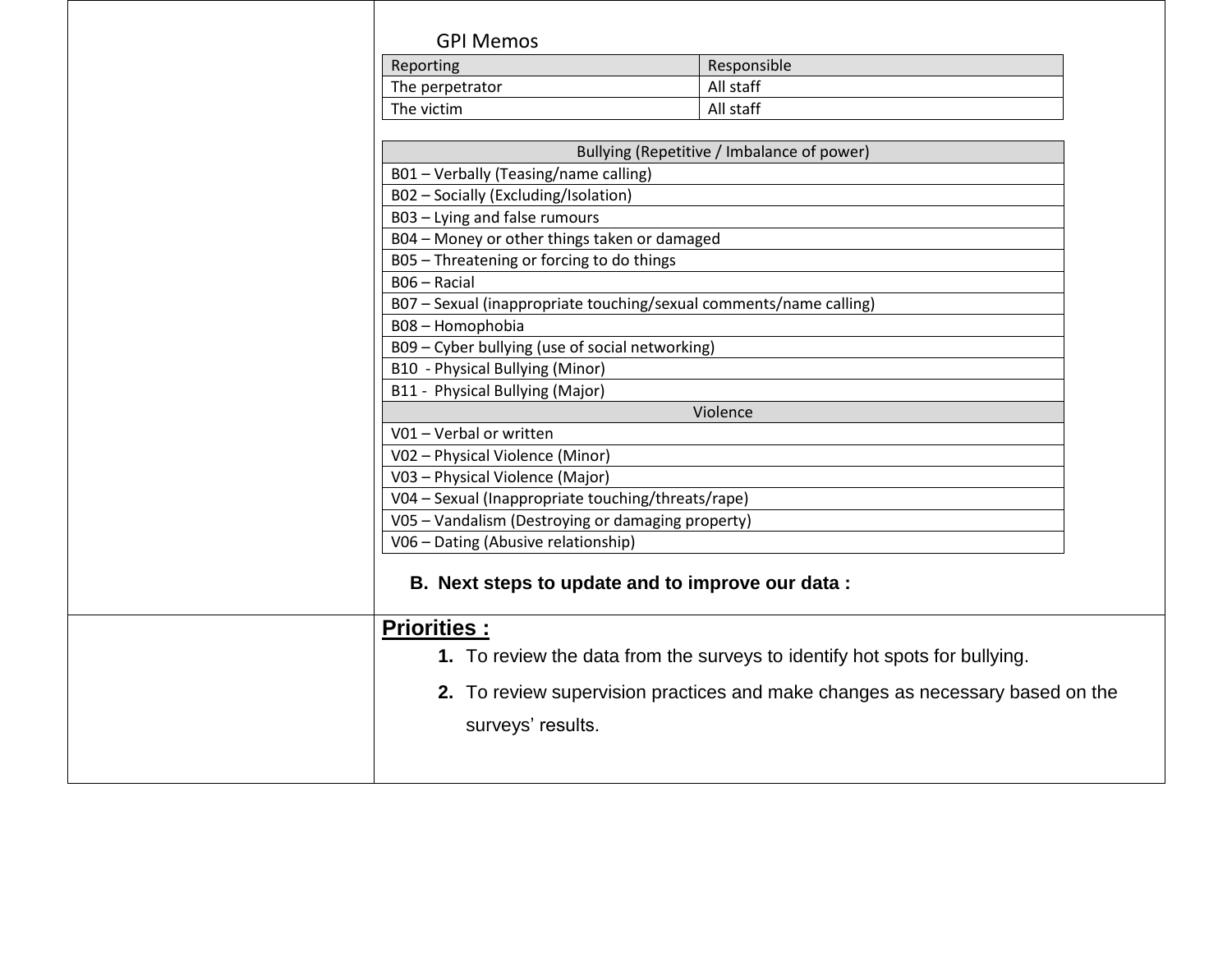| Reporting       | Responsible |
|-----------------|-------------|
| The perpetrator | All staff   |
| The victim      | All staff   |
|                 |             |

|                                 | Bullying (Repetitive / Imbalance of power)                                    |
|---------------------------------|-------------------------------------------------------------------------------|
|                                 | B01 - Verbally (Teasing/name calling)                                         |
|                                 | B02 - Socially (Excluding/Isolation)                                          |
| B03 - Lying and false rumours   |                                                                               |
|                                 | B04 - Money or other things taken or damaged                                  |
|                                 | B05 - Threatening or forcing to do things                                     |
| B06 - Racial                    |                                                                               |
|                                 | B07 - Sexual (inappropriate touching/sexual comments/name calling)            |
| B08 - Homophobia                |                                                                               |
|                                 | B09 - Cyber bullying (use of social networking)                               |
| B10 - Physical Bullying (Minor) |                                                                               |
| B11 - Physical Bullying (Major) |                                                                               |
|                                 | Violence                                                                      |
| V01 - Verbal or written         |                                                                               |
| V02 - Physical Violence (Minor) |                                                                               |
| V03 - Physical Violence (Major) |                                                                               |
|                                 | V04 - Sexual (Inappropriate touching/threats/rape)                            |
|                                 | V05 - Vandalism (Destroying or damaging property)                             |
|                                 | V06 - Dating (Abusive relationship)                                           |
|                                 | B. Next steps to update and to improve our data:                              |
| <b>Priorities:</b>              |                                                                               |
|                                 | 1. To review the data from the surveys to identify hot spots for bullying.    |
|                                 | 2. To review supervision practices and make changes as necessary based on the |
|                                 | surveys' results.                                                             |
|                                 |                                                                               |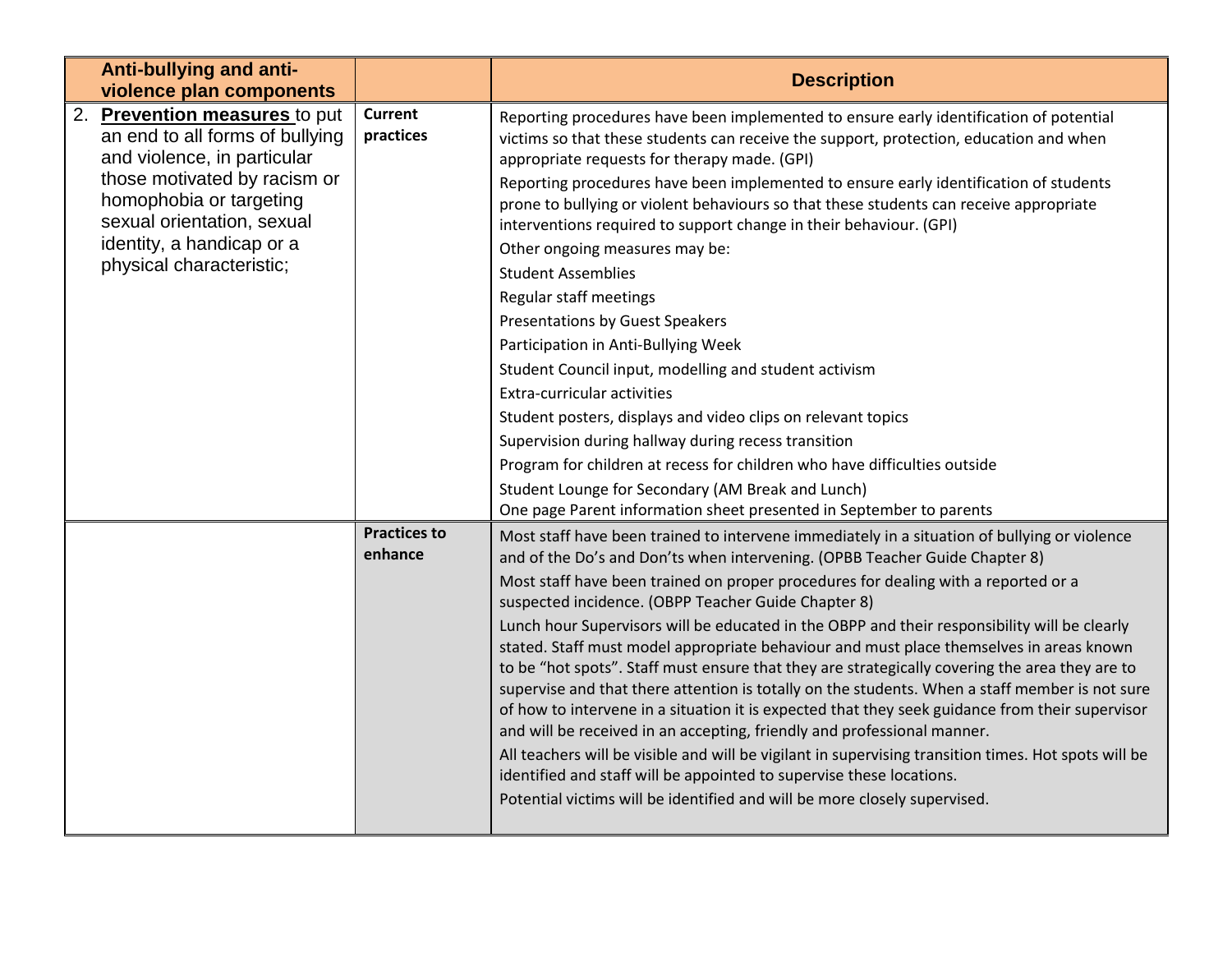| <b>Anti-bullying and anti-</b><br>violence plan components                                         |                                | <b>Description</b>                                                                                                                                                                                                                                                                                                                                                                                                                                                                                                                                                                                                                                                                                                                                                                                                                     |
|----------------------------------------------------------------------------------------------------|--------------------------------|----------------------------------------------------------------------------------------------------------------------------------------------------------------------------------------------------------------------------------------------------------------------------------------------------------------------------------------------------------------------------------------------------------------------------------------------------------------------------------------------------------------------------------------------------------------------------------------------------------------------------------------------------------------------------------------------------------------------------------------------------------------------------------------------------------------------------------------|
| 2.<br>Prevention measures to put<br>an end to all forms of bullying<br>and violence, in particular | <b>Current</b><br>practices    | Reporting procedures have been implemented to ensure early identification of potential<br>victims so that these students can receive the support, protection, education and when<br>appropriate requests for therapy made. (GPI)                                                                                                                                                                                                                                                                                                                                                                                                                                                                                                                                                                                                       |
| those motivated by racism or<br>homophobia or targeting<br>sexual orientation, sexual              |                                | Reporting procedures have been implemented to ensure early identification of students<br>prone to bullying or violent behaviours so that these students can receive appropriate<br>interventions required to support change in their behaviour. (GPI)                                                                                                                                                                                                                                                                                                                                                                                                                                                                                                                                                                                  |
| identity, a handicap or a                                                                          |                                | Other ongoing measures may be:                                                                                                                                                                                                                                                                                                                                                                                                                                                                                                                                                                                                                                                                                                                                                                                                         |
| physical characteristic;                                                                           |                                | <b>Student Assemblies</b>                                                                                                                                                                                                                                                                                                                                                                                                                                                                                                                                                                                                                                                                                                                                                                                                              |
|                                                                                                    |                                | Regular staff meetings                                                                                                                                                                                                                                                                                                                                                                                                                                                                                                                                                                                                                                                                                                                                                                                                                 |
|                                                                                                    |                                | <b>Presentations by Guest Speakers</b>                                                                                                                                                                                                                                                                                                                                                                                                                                                                                                                                                                                                                                                                                                                                                                                                 |
|                                                                                                    |                                | Participation in Anti-Bullying Week                                                                                                                                                                                                                                                                                                                                                                                                                                                                                                                                                                                                                                                                                                                                                                                                    |
|                                                                                                    |                                | Student Council input, modelling and student activism                                                                                                                                                                                                                                                                                                                                                                                                                                                                                                                                                                                                                                                                                                                                                                                  |
|                                                                                                    |                                | Extra-curricular activities                                                                                                                                                                                                                                                                                                                                                                                                                                                                                                                                                                                                                                                                                                                                                                                                            |
|                                                                                                    |                                | Student posters, displays and video clips on relevant topics                                                                                                                                                                                                                                                                                                                                                                                                                                                                                                                                                                                                                                                                                                                                                                           |
|                                                                                                    |                                | Supervision during hallway during recess transition                                                                                                                                                                                                                                                                                                                                                                                                                                                                                                                                                                                                                                                                                                                                                                                    |
|                                                                                                    |                                | Program for children at recess for children who have difficulties outside                                                                                                                                                                                                                                                                                                                                                                                                                                                                                                                                                                                                                                                                                                                                                              |
|                                                                                                    |                                | Student Lounge for Secondary (AM Break and Lunch)                                                                                                                                                                                                                                                                                                                                                                                                                                                                                                                                                                                                                                                                                                                                                                                      |
|                                                                                                    |                                | One page Parent information sheet presented in September to parents                                                                                                                                                                                                                                                                                                                                                                                                                                                                                                                                                                                                                                                                                                                                                                    |
|                                                                                                    | <b>Practices to</b><br>enhance | Most staff have been trained to intervene immediately in a situation of bullying or violence<br>and of the Do's and Don'ts when intervening. (OPBB Teacher Guide Chapter 8)                                                                                                                                                                                                                                                                                                                                                                                                                                                                                                                                                                                                                                                            |
|                                                                                                    |                                | Most staff have been trained on proper procedures for dealing with a reported or a<br>suspected incidence. (OBPP Teacher Guide Chapter 8)                                                                                                                                                                                                                                                                                                                                                                                                                                                                                                                                                                                                                                                                                              |
|                                                                                                    |                                | Lunch hour Supervisors will be educated in the OBPP and their responsibility will be clearly<br>stated. Staff must model appropriate behaviour and must place themselves in areas known<br>to be "hot spots". Staff must ensure that they are strategically covering the area they are to<br>supervise and that there attention is totally on the students. When a staff member is not sure<br>of how to intervene in a situation it is expected that they seek guidance from their supervisor<br>and will be received in an accepting, friendly and professional manner.<br>All teachers will be visible and will be vigilant in supervising transition times. Hot spots will be<br>identified and staff will be appointed to supervise these locations.<br>Potential victims will be identified and will be more closely supervised. |
|                                                                                                    |                                |                                                                                                                                                                                                                                                                                                                                                                                                                                                                                                                                                                                                                                                                                                                                                                                                                                        |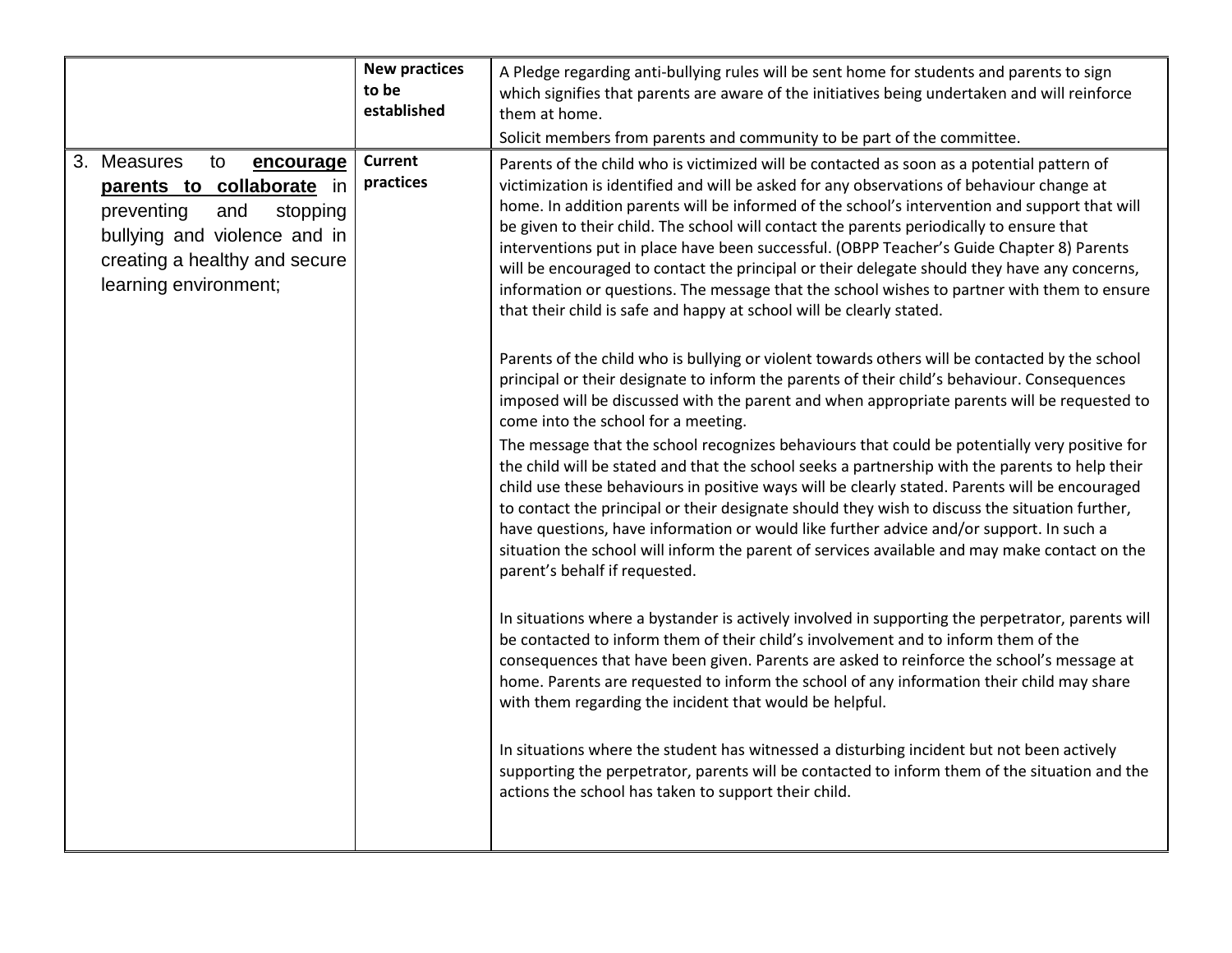|                                                                                                                                                                                                  | <b>New practices</b><br>to be<br>established | A Pledge regarding anti-bullying rules will be sent home for students and parents to sign<br>which signifies that parents are aware of the initiatives being undertaken and will reinforce<br>them at home.<br>Solicit members from parents and community to be part of the committee.                                                                                                                                                                                                                                                                                                                                                                                                                                                                                                                                                                                                                                                                    |
|--------------------------------------------------------------------------------------------------------------------------------------------------------------------------------------------------|----------------------------------------------|-----------------------------------------------------------------------------------------------------------------------------------------------------------------------------------------------------------------------------------------------------------------------------------------------------------------------------------------------------------------------------------------------------------------------------------------------------------------------------------------------------------------------------------------------------------------------------------------------------------------------------------------------------------------------------------------------------------------------------------------------------------------------------------------------------------------------------------------------------------------------------------------------------------------------------------------------------------|
| 3.<br><b>Measures</b><br>to<br>encourage<br>parents to collaborate in<br>preventing<br>and<br>stopping<br>bullying and violence and in<br>creating a healthy and secure<br>learning environment; | <b>Current</b><br>practices                  | Parents of the child who is victimized will be contacted as soon as a potential pattern of<br>victimization is identified and will be asked for any observations of behaviour change at<br>home. In addition parents will be informed of the school's intervention and support that will<br>be given to their child. The school will contact the parents periodically to ensure that<br>interventions put in place have been successful. (OBPP Teacher's Guide Chapter 8) Parents<br>will be encouraged to contact the principal or their delegate should they have any concerns,<br>information or questions. The message that the school wishes to partner with them to ensure<br>that their child is safe and happy at school will be clearly stated.<br>Parents of the child who is bullying or violent towards others will be contacted by the school<br>principal or their designate to inform the parents of their child's behaviour. Consequences |
|                                                                                                                                                                                                  |                                              | imposed will be discussed with the parent and when appropriate parents will be requested to<br>come into the school for a meeting.<br>The message that the school recognizes behaviours that could be potentially very positive for<br>the child will be stated and that the school seeks a partnership with the parents to help their<br>child use these behaviours in positive ways will be clearly stated. Parents will be encouraged<br>to contact the principal or their designate should they wish to discuss the situation further,<br>have questions, have information or would like further advice and/or support. In such a<br>situation the school will inform the parent of services available and may make contact on the<br>parent's behalf if requested.                                                                                                                                                                                   |
|                                                                                                                                                                                                  |                                              | In situations where a bystander is actively involved in supporting the perpetrator, parents will<br>be contacted to inform them of their child's involvement and to inform them of the<br>consequences that have been given. Parents are asked to reinforce the school's message at<br>home. Parents are requested to inform the school of any information their child may share<br>with them regarding the incident that would be helpful.                                                                                                                                                                                                                                                                                                                                                                                                                                                                                                               |
|                                                                                                                                                                                                  |                                              | In situations where the student has witnessed a disturbing incident but not been actively<br>supporting the perpetrator, parents will be contacted to inform them of the situation and the<br>actions the school has taken to support their child.                                                                                                                                                                                                                                                                                                                                                                                                                                                                                                                                                                                                                                                                                                        |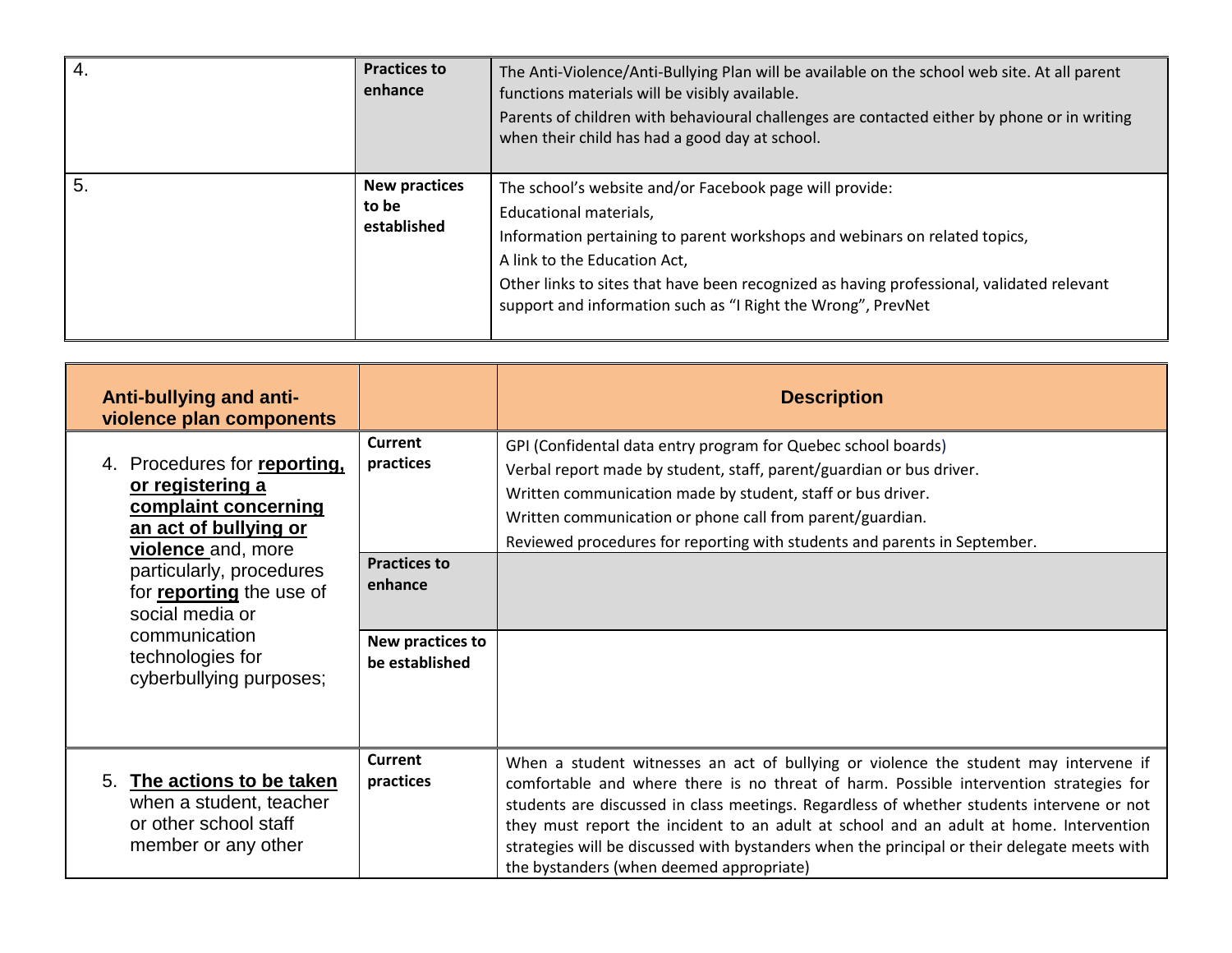| <sup>4</sup> . | <b>Practices to</b><br>enhance               | The Anti-Violence/Anti-Bullying Plan will be available on the school web site. At all parent<br>functions materials will be visibly available.<br>Parents of children with behavioural challenges are contacted either by phone or in writing<br>when their child has had a good day at school.                                                              |
|----------------|----------------------------------------------|--------------------------------------------------------------------------------------------------------------------------------------------------------------------------------------------------------------------------------------------------------------------------------------------------------------------------------------------------------------|
| 5.             | <b>New practices</b><br>to be<br>established | The school's website and/or Facebook page will provide:<br>Educational materials,<br>Information pertaining to parent workshops and webinars on related topics,<br>A link to the Education Act,<br>Other links to sites that have been recognized as having professional, validated relevant<br>support and information such as "I Right the Wrong", PrevNet |

| <b>Anti-bullying and anti-</b><br>violence plan components                                                                                                                                                                                                         |                                               | <b>Description</b>                                                                                                                                                                                                                                                                                                                                                                                                                                                                                                |
|--------------------------------------------------------------------------------------------------------------------------------------------------------------------------------------------------------------------------------------------------------------------|-----------------------------------------------|-------------------------------------------------------------------------------------------------------------------------------------------------------------------------------------------------------------------------------------------------------------------------------------------------------------------------------------------------------------------------------------------------------------------------------------------------------------------------------------------------------------------|
| 4. Procedures for reporting,<br>or registering a<br>complaint concerning<br>an act of bullying or<br>violence and, more<br>particularly, procedures<br>for reporting the use of<br>social media or<br>communication<br>technologies for<br>cyberbullying purposes; | Current<br>practices<br><b>Practices to</b>   | GPI (Confidental data entry program for Quebec school boards)<br>Verbal report made by student, staff, parent/guardian or bus driver.<br>Written communication made by student, staff or bus driver.<br>Written communication or phone call from parent/guardian.<br>Reviewed procedures for reporting with students and parents in September.                                                                                                                                                                    |
|                                                                                                                                                                                                                                                                    | enhance<br>New practices to<br>be established |                                                                                                                                                                                                                                                                                                                                                                                                                                                                                                                   |
| The actions to be taken<br>5.<br>when a student, teacher<br>or other school staff<br>member or any other                                                                                                                                                           | <b>Current</b><br>practices                   | When a student witnesses an act of bullying or violence the student may intervene if<br>comfortable and where there is no threat of harm. Possible intervention strategies for<br>students are discussed in class meetings. Regardless of whether students intervene or not<br>they must report the incident to an adult at school and an adult at home. Intervention<br>strategies will be discussed with bystanders when the principal or their delegate meets with<br>the bystanders (when deemed appropriate) |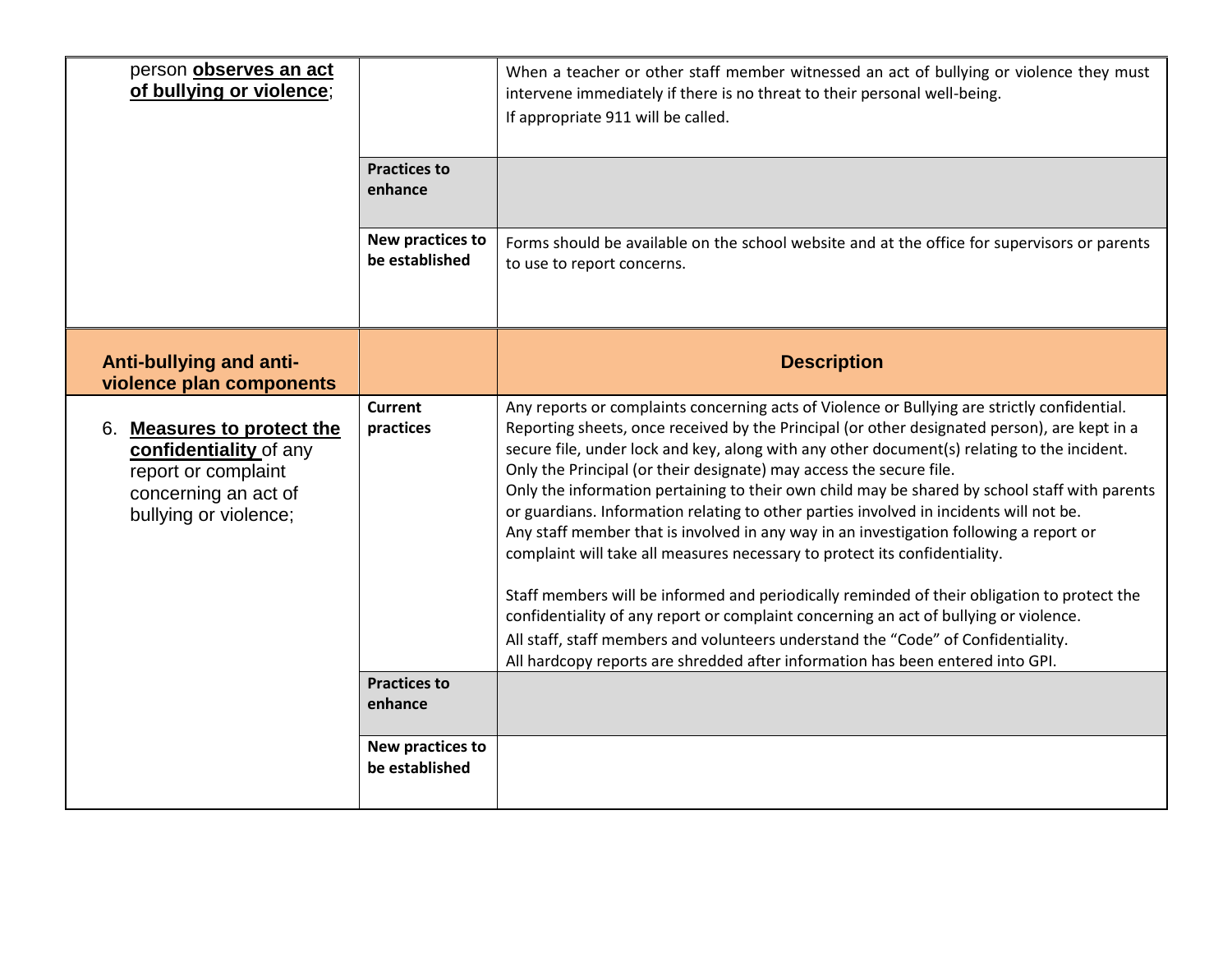| person observes an act<br>of bullying or violence;                                                                                     | <b>Practices to</b><br>enhance<br>New practices to<br>be established | When a teacher or other staff member witnessed an act of bullying or violence they must<br>intervene immediately if there is no threat to their personal well-being.<br>If appropriate 911 will be called.<br>Forms should be available on the school website and at the office for supervisors or parents<br>to use to report concerns.                                                                                                                                                                                                                                                                                                                                                                                                                                                                                                                                                                                                                                                                                                                                                             |
|----------------------------------------------------------------------------------------------------------------------------------------|----------------------------------------------------------------------|------------------------------------------------------------------------------------------------------------------------------------------------------------------------------------------------------------------------------------------------------------------------------------------------------------------------------------------------------------------------------------------------------------------------------------------------------------------------------------------------------------------------------------------------------------------------------------------------------------------------------------------------------------------------------------------------------------------------------------------------------------------------------------------------------------------------------------------------------------------------------------------------------------------------------------------------------------------------------------------------------------------------------------------------------------------------------------------------------|
| <b>Anti-bullying and anti-</b><br>violence plan components                                                                             |                                                                      | <b>Description</b>                                                                                                                                                                                                                                                                                                                                                                                                                                                                                                                                                                                                                                                                                                                                                                                                                                                                                                                                                                                                                                                                                   |
| 6.<br><b>Measures to protect the</b><br>confidentiality of any<br>report or complaint<br>concerning an act of<br>bullying or violence; | Current<br>practices                                                 | Any reports or complaints concerning acts of Violence or Bullying are strictly confidential.<br>Reporting sheets, once received by the Principal (or other designated person), are kept in a<br>secure file, under lock and key, along with any other document(s) relating to the incident.<br>Only the Principal (or their designate) may access the secure file.<br>Only the information pertaining to their own child may be shared by school staff with parents<br>or guardians. Information relating to other parties involved in incidents will not be.<br>Any staff member that is involved in any way in an investigation following a report or<br>complaint will take all measures necessary to protect its confidentiality.<br>Staff members will be informed and periodically reminded of their obligation to protect the<br>confidentiality of any report or complaint concerning an act of bullying or violence.<br>All staff, staff members and volunteers understand the "Code" of Confidentiality.<br>All hardcopy reports are shredded after information has been entered into GPI. |
|                                                                                                                                        | <b>Practices to</b><br>enhance                                       |                                                                                                                                                                                                                                                                                                                                                                                                                                                                                                                                                                                                                                                                                                                                                                                                                                                                                                                                                                                                                                                                                                      |
|                                                                                                                                        | New practices to<br>be established                                   |                                                                                                                                                                                                                                                                                                                                                                                                                                                                                                                                                                                                                                                                                                                                                                                                                                                                                                                                                                                                                                                                                                      |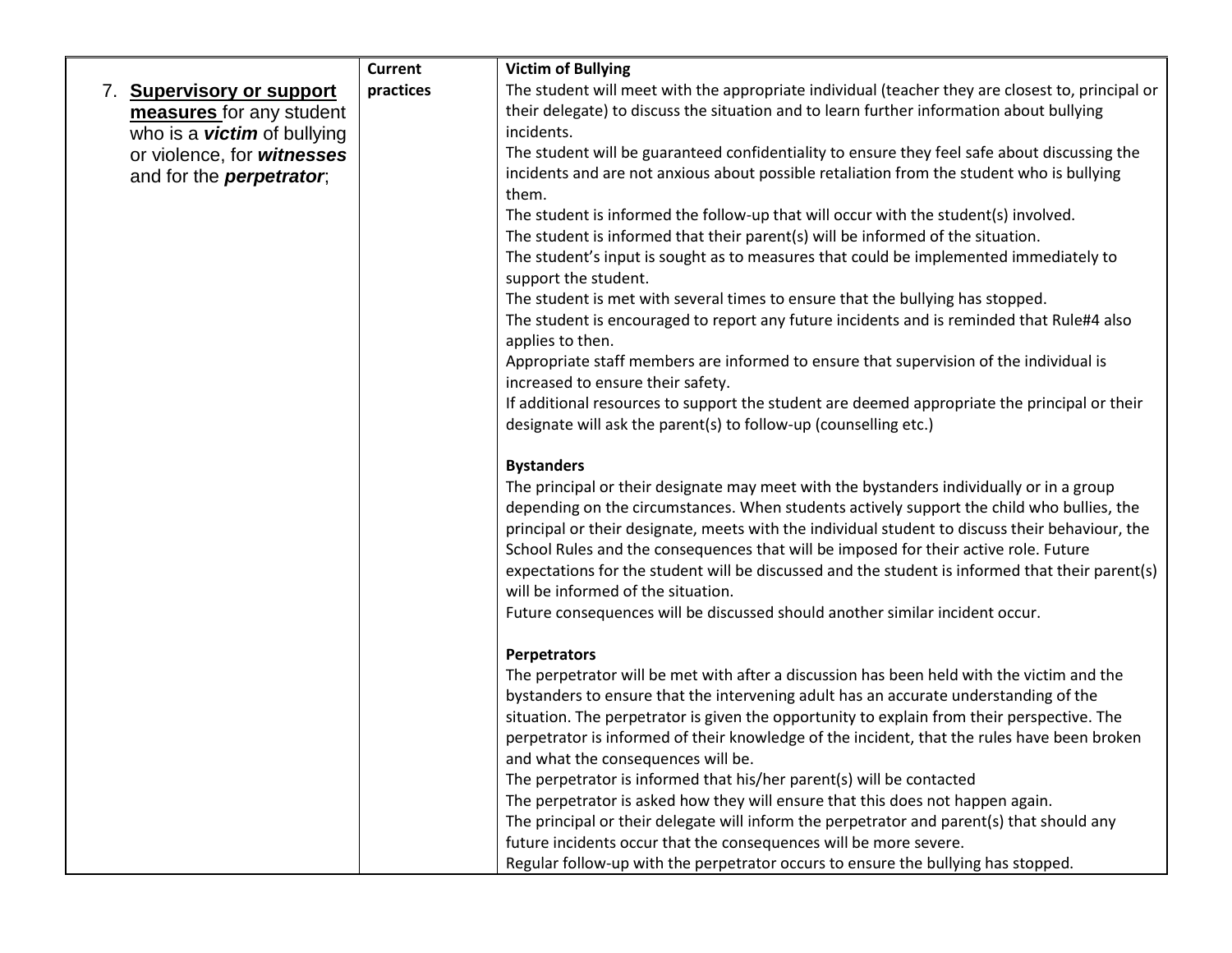|                                     | <b>Current</b> | <b>Victim of Bullying</b>                                                                                                                                                               |
|-------------------------------------|----------------|-----------------------------------------------------------------------------------------------------------------------------------------------------------------------------------------|
| <b>Supervisory or support</b><br>7. | practices      | The student will meet with the appropriate individual (teacher they are closest to, principal or                                                                                        |
| measures for any student            |                | their delegate) to discuss the situation and to learn further information about bullying                                                                                                |
| who is a <b>victim</b> of bullying  |                | incidents.                                                                                                                                                                              |
| or violence, for witnesses          |                | The student will be guaranteed confidentiality to ensure they feel safe about discussing the                                                                                            |
| and for the <b>perpetrator</b> ,    |                | incidents and are not anxious about possible retaliation from the student who is bullying                                                                                               |
|                                     |                | them.                                                                                                                                                                                   |
|                                     |                | The student is informed the follow-up that will occur with the student(s) involved.                                                                                                     |
|                                     |                | The student is informed that their parent(s) will be informed of the situation.                                                                                                         |
|                                     |                | The student's input is sought as to measures that could be implemented immediately to<br>support the student.                                                                           |
|                                     |                | The student is met with several times to ensure that the bullying has stopped.                                                                                                          |
|                                     |                | The student is encouraged to report any future incidents and is reminded that Rule#4 also                                                                                               |
|                                     |                | applies to then.                                                                                                                                                                        |
|                                     |                | Appropriate staff members are informed to ensure that supervision of the individual is                                                                                                  |
|                                     |                | increased to ensure their safety.                                                                                                                                                       |
|                                     |                | If additional resources to support the student are deemed appropriate the principal or their                                                                                            |
|                                     |                | designate will ask the parent(s) to follow-up (counselling etc.)                                                                                                                        |
|                                     |                |                                                                                                                                                                                         |
|                                     |                | <b>Bystanders</b>                                                                                                                                                                       |
|                                     |                | The principal or their designate may meet with the bystanders individually or in a group                                                                                                |
|                                     |                | depending on the circumstances. When students actively support the child who bullies, the                                                                                               |
|                                     |                | principal or their designate, meets with the individual student to discuss their behaviour, the                                                                                         |
|                                     |                | School Rules and the consequences that will be imposed for their active role. Future<br>expectations for the student will be discussed and the student is informed that their parent(s) |
|                                     |                | will be informed of the situation.                                                                                                                                                      |
|                                     |                | Future consequences will be discussed should another similar incident occur.                                                                                                            |
|                                     |                |                                                                                                                                                                                         |
|                                     |                | Perpetrators                                                                                                                                                                            |
|                                     |                | The perpetrator will be met with after a discussion has been held with the victim and the                                                                                               |
|                                     |                | bystanders to ensure that the intervening adult has an accurate understanding of the                                                                                                    |
|                                     |                | situation. The perpetrator is given the opportunity to explain from their perspective. The                                                                                              |
|                                     |                | perpetrator is informed of their knowledge of the incident, that the rules have been broken                                                                                             |
|                                     |                | and what the consequences will be.                                                                                                                                                      |
|                                     |                | The perpetrator is informed that his/her parent(s) will be contacted                                                                                                                    |
|                                     |                | The perpetrator is asked how they will ensure that this does not happen again.                                                                                                          |
|                                     |                | The principal or their delegate will inform the perpetrator and parent(s) that should any                                                                                               |
|                                     |                | future incidents occur that the consequences will be more severe.                                                                                                                       |
|                                     |                | Regular follow-up with the perpetrator occurs to ensure the bullying has stopped.                                                                                                       |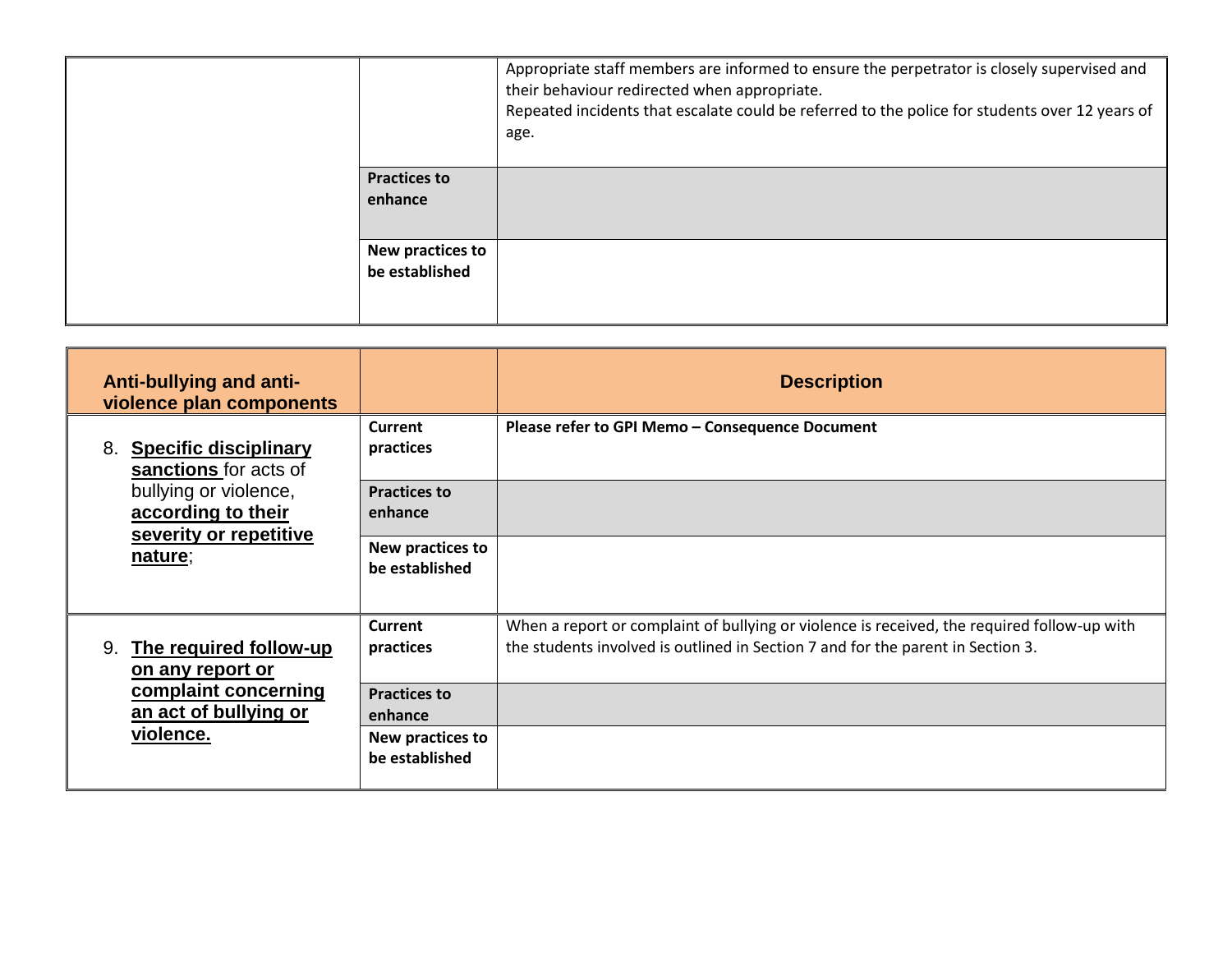|                                    | Appropriate staff members are informed to ensure the perpetrator is closely supervised and<br>their behaviour redirected when appropriate.<br>Repeated incidents that escalate could be referred to the police for students over 12 years of<br>age. |
|------------------------------------|------------------------------------------------------------------------------------------------------------------------------------------------------------------------------------------------------------------------------------------------------|
| <b>Practices to</b><br>enhance     |                                                                                                                                                                                                                                                      |
| New practices to<br>be established |                                                                                                                                                                                                                                                      |

| <b>Anti-bullying and anti-</b><br>violence plan components                                                                                      |                                    | <b>Description</b>                                                                                                                                                             |
|-------------------------------------------------------------------------------------------------------------------------------------------------|------------------------------------|--------------------------------------------------------------------------------------------------------------------------------------------------------------------------------|
| <b>Specific disciplinary</b><br>8.<br>sanctions for acts of<br>bullying or violence,<br>according to their<br>severity or repetitive<br>nature; | Current<br>practices               | Please refer to GPI Memo - Consequence Document                                                                                                                                |
|                                                                                                                                                 | <b>Practices to</b><br>enhance     |                                                                                                                                                                                |
|                                                                                                                                                 | New practices to<br>be established |                                                                                                                                                                                |
| The required follow-up<br>9.<br>on any report or<br>complaint concerning<br>an act of bullying or<br>violence.                                  | <b>Current</b><br>practices        | When a report or complaint of bullying or violence is received, the required follow-up with<br>the students involved is outlined in Section 7 and for the parent in Section 3. |
|                                                                                                                                                 | <b>Practices to</b><br>enhance     |                                                                                                                                                                                |
|                                                                                                                                                 | New practices to<br>be established |                                                                                                                                                                                |